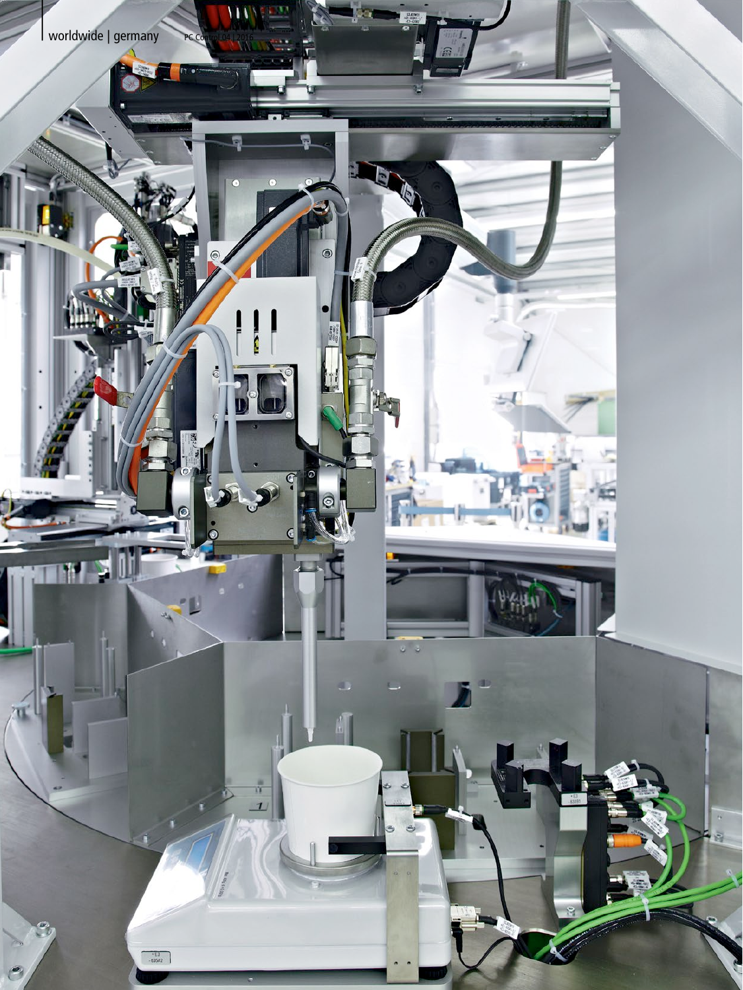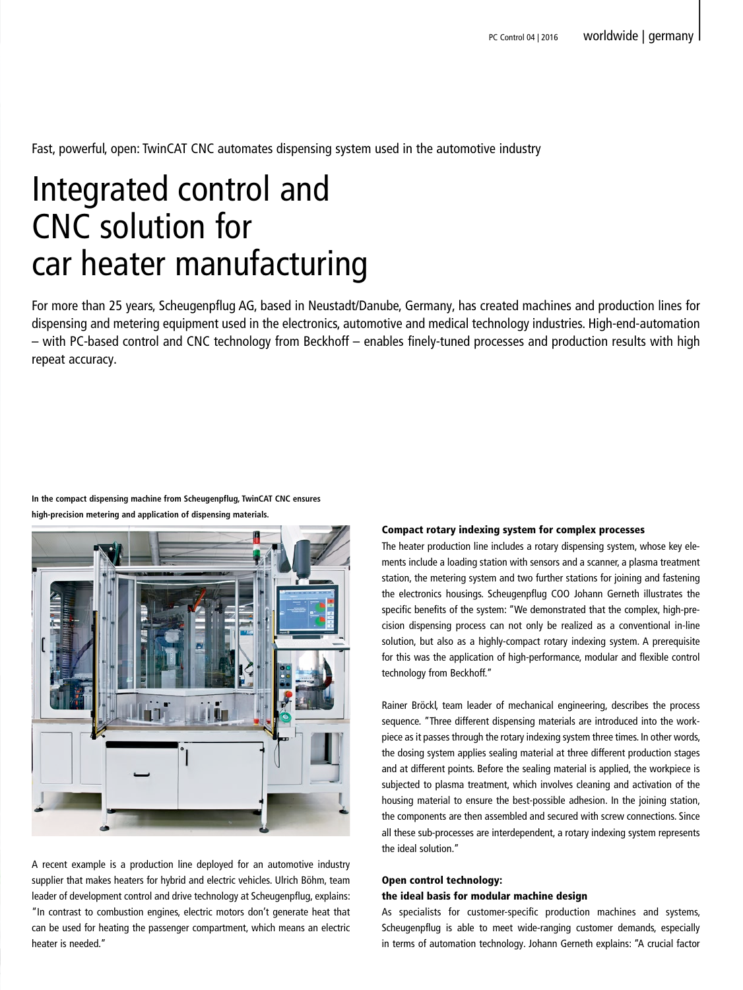Fast, powerful, open: TwinCAT CNC automates dispensing system used in the automotive industry

# Integrated control and CNC solution for car heater manufacturing

For more than 25 years, Scheugenpflug AG, based in Neustadt/Danube, Germany, has created machines and production lines for dispensing and metering equipment used in the electronics, automotive and medical technology industries. High-end-automation – with PC-based control and CNC technology from Beckhoff – enables finely-tuned processes and production results with high repeat accuracy.

**In the compact dispensing machine from Scheugenpflug, TwinCAT CNC ensures high-precision metering and application of dispensing materials.**



A recent example is a production line deployed for an automotive industry supplier that makes heaters for hybrid and electric vehicles. Ulrich Böhm, team leader of development control and drive technology at Scheugenpflug, explains: "In contrast to combustion engines, electric motors don't generate heat that can be used for heating the passenger compartment, which means an electric heater is needed."

# Compact rotary indexing system for complex processes

The heater production line includes a rotary dispensing system, whose key elements include a loading station with sensors and a scanner, a plasma treatment station, the metering system and two further stations for joining and fastening the electronics housings. Scheugenpflug COO Johann Gerneth illustrates the specific benefits of the system: "We demonstrated that the complex, high-precision dispensing process can not only be realized as a conventional in-line solution, but also as a highly-compact rotary indexing system. A prerequisite for this was the application of high-performance, modular and flexible control technology from Beckhoff."

Rainer Bröckl, team leader of mechanical engineering, describes the process sequence. "Three different dispensing materials are introduced into the workpiece as it passes through the rotary indexing system three times. In other words, the dosing system applies sealing material at three different production stages and at different points. Before the sealing material is applied, the workpiece is subjected to plasma treatment, which involves cleaning and activation of the housing material to ensure the best-possible adhesion. In the joining station, the components are then assembled and secured with screw connections. Since all these sub-processes are interdependent, a rotary indexing system represents the ideal solution."

### Open control technology:

#### the ideal basis for modular machine design

As specialists for customer-specific production machines and systems, Scheugenpflug is able to meet wide-ranging customer demands, especially in terms of automation technology. Johann Gerneth explains: "A crucial factor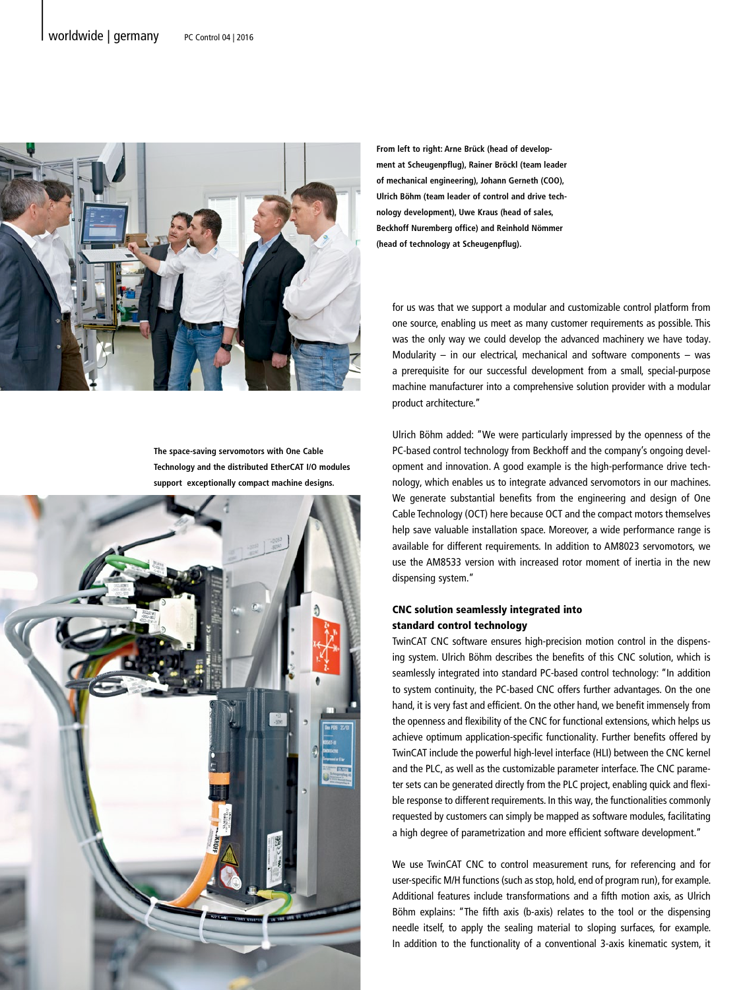

**The space-saving servomotors with One Cable Technology and the distributed EtherCAT I/O modules support exceptionally compact machine designs.**



**From left to right: Arne Brück (head of development at Scheugenpflug), Rainer Bröckl (team leader of mechanical engineering), Johann Gerneth (COO), Ulrich Böhm (team leader of control and drive technology development), Uwe Kraus (head of sales, Beckhoff Nuremberg office) and Reinhold Nömmer (head of technology at Scheugenpflug).**

for us was that we support a modular and customizable control platform from one source, enabling us meet as many customer requirements as possible. This was the only way we could develop the advanced machinery we have today. Modularity – in our electrical, mechanical and software components – was a prerequisite for our successful development from a small, special-purpose machine manufacturer into a comprehensive solution provider with a modular product architecture."

Ulrich Böhm added: "We were particularly impressed by the openness of the PC-based control technology from Beckhoff and the company's ongoing development and innovation. A good example is the high-performance drive technology, which enables us to integrate advanced servomotors in our machines. We generate substantial benefits from the engineering and design of One Cable Technology (OCT) here because OCT and the compact motors themselves help save valuable installation space. Moreover, a wide performance range is available for different requirements. In addition to AM8023 servomotors, we use the AM8533 version with increased rotor moment of inertia in the new dispensing system."

# CNC solution seamlessly integrated into standard control technology

TwinCAT CNC software ensures high-precision motion control in the dispensing system. Ulrich Böhm describes the benefits of this CNC solution, which is seamlessly integrated into standard PC-based control technology: "In addition to system continuity, the PC-based CNC offers further advantages. On the one hand, it is very fast and efficient. On the other hand, we benefit immensely from the openness and flexibility of the CNC for functional extensions, which helps us achieve optimum application-specific functionality. Further benefits offered by TwinCAT include the powerful high-level interface (HLI) between the CNC kernel and the PLC, as well as the customizable parameter interface. The CNC parameter sets can be generated directly from the PLC project, enabling quick and flexible response to different requirements. In this way, the functionalities commonly requested by customers can simply be mapped as software modules, facilitating a high degree of parametrization and more efficient software development."

We use TwinCAT CNC to control measurement runs, for referencing and for user-specific M/H functions (such as stop, hold, end of program run), for example. Additional features include transformations and a fifth motion axis, as Ulrich Böhm explains: "The fifth axis (b-axis) relates to the tool or the dispensing needle itself, to apply the sealing material to sloping surfaces, for example. In addition to the functionality of a conventional 3-axis kinematic system, it